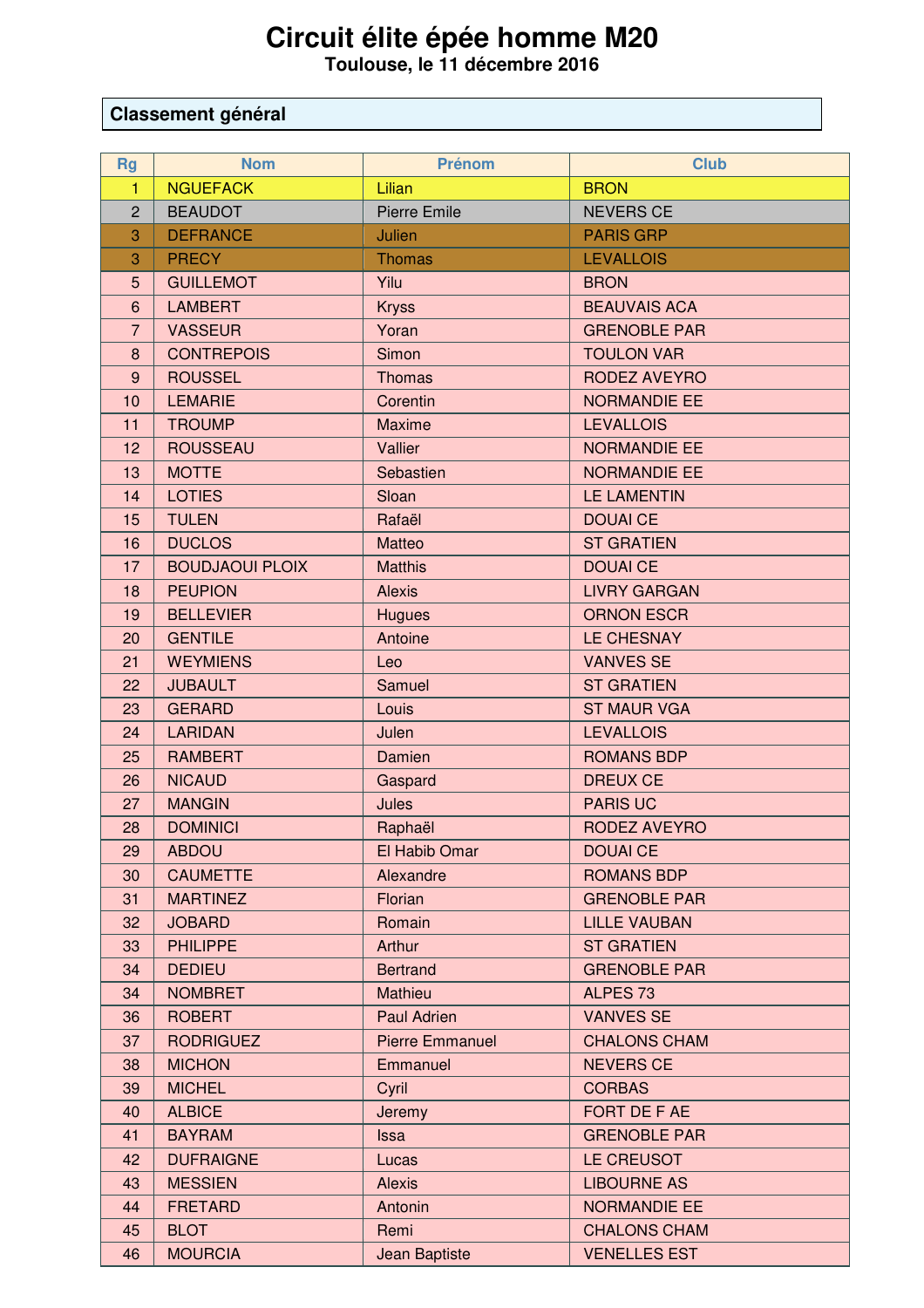## **Circuit élite épée homme M20 Toulouse, le 11 décembre 2016**

## **Classement général**

| <b>Rg</b>       | <b>Nom</b>             | <b>Prénom</b>          | <b>Club</b>         |
|-----------------|------------------------|------------------------|---------------------|
| $\mathbf{1}$    | <b>NGUEFACK</b>        | Lilian                 | <b>BRON</b>         |
| $\overline{2}$  | <b>BEAUDOT</b>         | <b>Pierre Emile</b>    | <b>NEVERS CE</b>    |
| 3               | <b>DEFRANCE</b>        | Julien                 | <b>PARIS GRP</b>    |
| 3               | <b>PRECY</b>           | <b>Thomas</b>          | <b>LEVALLOIS</b>    |
| 5               | <b>GUILLEMOT</b>       | Yilu                   | <b>BRON</b>         |
| $6\phantom{1}6$ | <b>LAMBERT</b>         | <b>Kryss</b>           | <b>BEAUVAIS ACA</b> |
| $\overline{7}$  | <b>VASSEUR</b>         | Yoran                  | <b>GRENOBLE PAR</b> |
| 8               | <b>CONTREPOIS</b>      | Simon                  | <b>TOULON VAR</b>   |
| 9               | <b>ROUSSEL</b>         | <b>Thomas</b>          | <b>RODEZ AVEYRO</b> |
| 10              | <b>LEMARIE</b>         | Corentin               | <b>NORMANDIE EE</b> |
| 11              | <b>TROUMP</b>          | Maxime                 | <b>LEVALLOIS</b>    |
| 12              | <b>ROUSSEAU</b>        | Vallier                | <b>NORMANDIE EE</b> |
| 13              | <b>MOTTE</b>           | Sebastien              | <b>NORMANDIE EE</b> |
| 14              | <b>LOTIES</b>          | Sloan                  | <b>LE LAMENTIN</b>  |
| 15              | <b>TULEN</b>           | Rafaël                 | <b>DOUAI CE</b>     |
| 16              | <b>DUCLOS</b>          | Matteo                 | <b>ST GRATIEN</b>   |
| 17              | <b>BOUDJAOUI PLOIX</b> | <b>Matthis</b>         | <b>DOUAI CE</b>     |
| 18              | <b>PEUPION</b>         | <b>Alexis</b>          | <b>LIVRY GARGAN</b> |
| 19              | <b>BELLEVIER</b>       | <b>Hugues</b>          | <b>ORNON ESCR</b>   |
| 20              | <b>GENTILE</b>         | Antoine                | <b>LE CHESNAY</b>   |
| 21              | <b>WEYMIENS</b>        | Leo                    | <b>VANVES SE</b>    |
| 22              | <b>JUBAULT</b>         | Samuel                 | <b>ST GRATIEN</b>   |
| 23              | <b>GERARD</b>          | Louis                  | <b>ST MAUR VGA</b>  |
| 24              | <b>LARIDAN</b>         | Julen                  | <b>LEVALLOIS</b>    |
| 25              | <b>RAMBERT</b>         | Damien                 | <b>ROMANS BDP</b>   |
| 26              | <b>NICAUD</b>          | Gaspard                | <b>DREUX CE</b>     |
| 27              | <b>MANGIN</b>          | Jules                  | <b>PARIS UC</b>     |
| 28              | <b>DOMINICI</b>        | Raphaël                | <b>RODEZ AVEYRO</b> |
| 29              | <b>ABDOU</b>           | El Habib Omar          | <b>DOUAI CE</b>     |
| 30              | <b>CAUMETTE</b>        | Alexandre              | <b>ROMANS BDP</b>   |
| 31              | <b>MARTINEZ</b>        | Florian                | <b>GRENOBLE PAR</b> |
| 32              | <b>JOBARD</b>          | Romain                 | <b>LILLE VAUBAN</b> |
| 33              | <b>PHILIPPE</b>        | Arthur                 | <b>ST GRATIEN</b>   |
| 34              | <b>DEDIEU</b>          | <b>Bertrand</b>        | <b>GRENOBLE PAR</b> |
| 34              | <b>NOMBRET</b>         | Mathieu                | ALPES <sub>73</sub> |
| 36              | <b>ROBERT</b>          | Paul Adrien            | <b>VANVES SE</b>    |
| 37              | <b>RODRIGUEZ</b>       | <b>Pierre Emmanuel</b> | <b>CHALONS CHAM</b> |
| 38              | <b>MICHON</b>          | Emmanuel               | <b>NEVERS CE</b>    |
| 39              | <b>MICHEL</b>          | Cyril                  | <b>CORBAS</b>       |
| 40              | <b>ALBICE</b>          | Jeremy                 | FORT DE F AE        |
| 41              | <b>BAYRAM</b>          | <b>Issa</b>            | <b>GRENOBLE PAR</b> |
| 42              | <b>DUFRAIGNE</b>       | Lucas                  | LE CREUSOT          |
| 43              | <b>MESSIEN</b>         | <b>Alexis</b>          | <b>LIBOURNE AS</b>  |
| 44              | <b>FRETARD</b>         | Antonin                | <b>NORMANDIE EE</b> |
| 45              | <b>BLOT</b>            | Remi                   | <b>CHALONS CHAM</b> |
| 46              | <b>MOURCIA</b>         | <b>Jean Baptiste</b>   | <b>VENELLES EST</b> |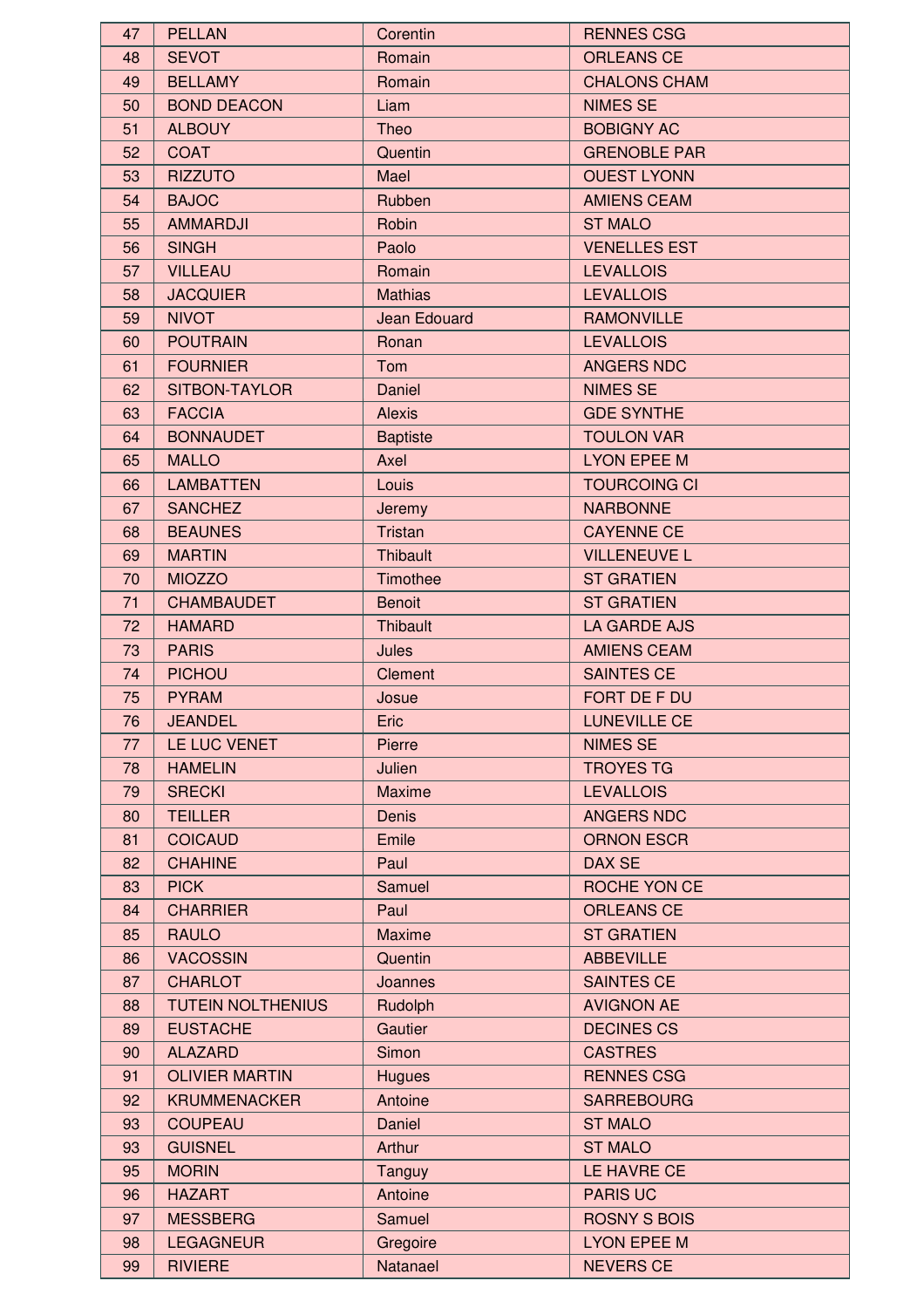| 47 | <b>PELLAN</b>                  | Corentin            | <b>RENNES CSG</b>   |
|----|--------------------------------|---------------------|---------------------|
| 48 | <b>SEVOT</b>                   | Romain              | <b>ORLEANS CE</b>   |
| 49 | <b>BELLAMY</b>                 | Romain              | <b>CHALONS CHAM</b> |
| 50 | <b>BOND DEACON</b>             | Liam                | <b>NIMES SE</b>     |
| 51 | <b>ALBOUY</b>                  | Theo                | <b>BOBIGNY AC</b>   |
| 52 | <b>COAT</b>                    | Quentin             | <b>GRENOBLE PAR</b> |
|    |                                |                     | <b>OUEST LYONN</b>  |
| 53 | <b>RIZZUTO</b><br><b>BAJOC</b> | Mael                |                     |
| 54 |                                | Rubben              | <b>AMIENS CEAM</b>  |
| 55 | <b>AMMARDJI</b>                | Robin               | <b>ST MALO</b>      |
| 56 | <b>SINGH</b>                   | Paolo               | <b>VENELLES EST</b> |
| 57 | <b>VILLEAU</b>                 | Romain              | <b>LEVALLOIS</b>    |
| 58 | <b>JACQUIER</b>                | <b>Mathias</b>      | <b>LEVALLOIS</b>    |
| 59 | <b>NIVOT</b>                   | <b>Jean Edouard</b> | <b>RAMONVILLE</b>   |
| 60 | <b>POUTRAIN</b>                | Ronan               | <b>LEVALLOIS</b>    |
| 61 | <b>FOURNIER</b>                | Tom                 | <b>ANGERS NDC</b>   |
| 62 | SITBON-TAYLOR                  | Daniel              | <b>NIMES SE</b>     |
| 63 | <b>FACCIA</b>                  | <b>Alexis</b>       | <b>GDE SYNTHE</b>   |
| 64 | <b>BONNAUDET</b>               | <b>Baptiste</b>     | <b>TOULON VAR</b>   |
| 65 | <b>MALLO</b>                   | Axel                | <b>LYON EPEE M</b>  |
| 66 | <b>LAMBATTEN</b>               | Louis               | <b>TOURCOING CI</b> |
| 67 | <b>SANCHEZ</b>                 | Jeremy              | <b>NARBONNE</b>     |
| 68 | <b>BEAUNES</b>                 | Tristan             | <b>CAYENNE CE</b>   |
| 69 | <b>MARTIN</b>                  | <b>Thibault</b>     | <b>VILLENEUVE L</b> |
| 70 | <b>MIOZZO</b>                  | Timothee            | <b>ST GRATIEN</b>   |
| 71 | <b>CHAMBAUDET</b>              | <b>Benoit</b>       | <b>ST GRATIEN</b>   |
| 72 | <b>HAMARD</b>                  | <b>Thibault</b>     | <b>LA GARDE AJS</b> |
| 73 | <b>PARIS</b>                   | Jules               | <b>AMIENS CEAM</b>  |
| 74 | <b>PICHOU</b>                  | <b>Clement</b>      | <b>SAINTES CE</b>   |
| 75 | <b>PYRAM</b>                   | Josue               | FORT DE F DU        |
| 76 | <b>JEANDEL</b>                 | Eric                | LUNEVILLE CE        |
| 77 | LE LUC VENET                   | Pierre              | <b>NIMES SE</b>     |
| 78 | <b>HAMELIN</b>                 | Julien              | <b>TROYES TG</b>    |
| 79 | <b>SRECKI</b>                  | <b>Maxime</b>       | <b>LEVALLOIS</b>    |
| 80 | <b>TEILLER</b>                 | <b>Denis</b>        | ANGERS NDC          |
| 81 | <b>COICAUD</b>                 | Emile               | <b>ORNON ESCR</b>   |
| 82 | <b>CHAHINE</b>                 | Paul                | <b>DAX SE</b>       |
| 83 | <b>PICK</b>                    | Samuel              | ROCHE YON CE        |
| 84 | <b>CHARRIER</b>                | Paul                | <b>ORLEANS CE</b>   |
| 85 | <b>RAULO</b>                   | <b>Maxime</b>       | <b>ST GRATIEN</b>   |
| 86 | <b>VACOSSIN</b>                | Quentin             | <b>ABBEVILLE</b>    |
| 87 | <b>CHARLOT</b>                 | Joannes             | <b>SAINTES CE</b>   |
| 88 | <b>TUTEIN NOLTHENIUS</b>       | Rudolph             | <b>AVIGNON AE</b>   |
| 89 | <b>EUSTACHE</b>                | Gautier             | <b>DECINES CS</b>   |
| 90 | <b>ALAZARD</b>                 | Simon               | <b>CASTRES</b>      |
| 91 | <b>OLIVIER MARTIN</b>          | <b>Hugues</b>       | <b>RENNES CSG</b>   |
| 92 | <b>KRUMMENACKER</b>            | Antoine             | <b>SARREBOURG</b>   |
| 93 | <b>COUPEAU</b>                 | Daniel              | <b>ST MALO</b>      |
| 93 | <b>GUISNEL</b>                 | Arthur              | <b>ST MALO</b>      |
| 95 | <b>MORIN</b>                   | Tanguy              | LE HAVRE CE         |
| 96 | <b>HAZART</b>                  | Antoine             | <b>PARIS UC</b>     |
| 97 | <b>MESSBERG</b>                | Samuel              | <b>ROSNY S BOIS</b> |
| 98 | <b>LEGAGNEUR</b>               | Gregoire            | <b>LYON EPEE M</b>  |
| 99 | <b>RIVIERE</b>                 | Natanael            | <b>NEVERS CE</b>    |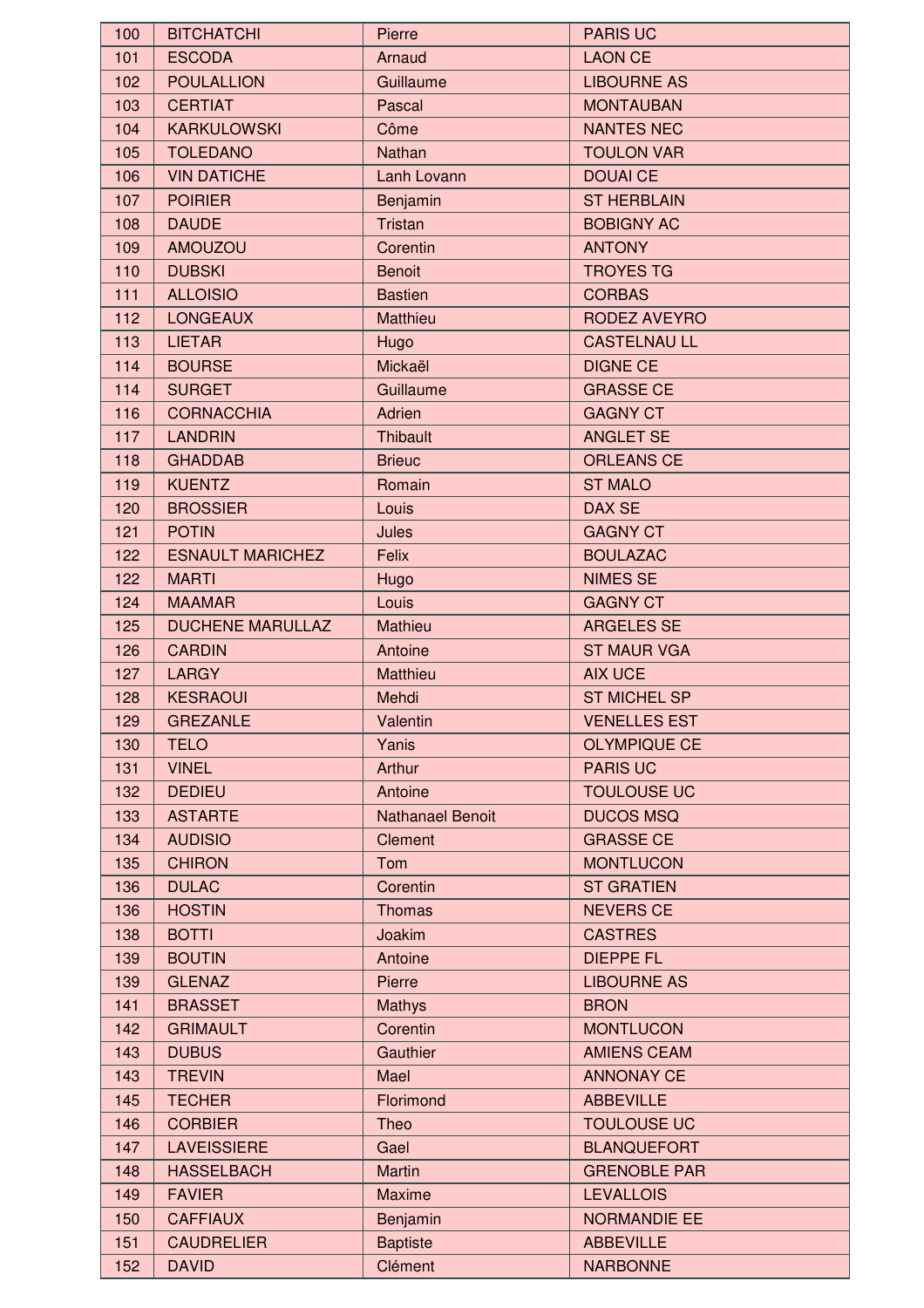| 100 | <b>BITCHATCHI</b>       | Pierre                  | <b>PARIS UC</b>     |
|-----|-------------------------|-------------------------|---------------------|
| 101 | <b>ESCODA</b>           | Arnaud                  | <b>LAON CE</b>      |
| 102 | <b>POULALLION</b>       | Guillaume               | <b>LIBOURNE AS</b>  |
| 103 | <b>CERTIAT</b>          | Pascal                  | <b>MONTAUBAN</b>    |
| 104 | <b>KARKULOWSKI</b>      | Côme                    | <b>NANTES NEC</b>   |
| 105 | <b>TOLEDANO</b>         | Nathan                  | <b>TOULON VAR</b>   |
| 106 | <b>VIN DATICHE</b>      | Lanh Lovann             | <b>DOUAI CE</b>     |
| 107 | <b>POIRIER</b>          | Benjamin                | <b>ST HERBLAIN</b>  |
| 108 | <b>DAUDE</b>            | Tristan                 | <b>BOBIGNY AC</b>   |
| 109 | <b>AMOUZOU</b>          | Corentin                | <b>ANTONY</b>       |
| 110 | <b>DUBSKI</b>           | <b>Benoit</b>           | <b>TROYES TG</b>    |
| 111 | <b>ALLOISIO</b>         | <b>Bastien</b>          | <b>CORBAS</b>       |
| 112 | <b>LONGEAUX</b>         | Matthieu                | <b>RODEZ AVEYRO</b> |
| 113 | <b>LIETAR</b>           | Hugo                    | <b>CASTELNAU LL</b> |
| 114 | <b>BOURSE</b>           | Mickaël                 | <b>DIGNE CE</b>     |
|     |                         |                         |                     |
| 114 | <b>SURGET</b>           | Guillaume               | <b>GRASSE CE</b>    |
| 116 | <b>CORNACCHIA</b>       | Adrien                  | <b>GAGNY CT</b>     |
| 117 | <b>LANDRIN</b>          | Thibault                | <b>ANGLET SE</b>    |
| 118 | <b>GHADDAB</b>          | <b>Brieuc</b>           | <b>ORLEANS CE</b>   |
| 119 | <b>KUENTZ</b>           | Romain                  | <b>ST MALO</b>      |
| 120 | <b>BROSSIER</b>         | Louis                   | DAX SE              |
| 121 | <b>POTIN</b>            | Jules                   | <b>GAGNY CT</b>     |
| 122 | <b>ESNAULT MARICHEZ</b> | Felix                   | <b>BOULAZAC</b>     |
| 122 | <b>MARTI</b>            | Hugo                    | <b>NIMES SE</b>     |
| 124 | <b>MAAMAR</b>           | Louis                   | <b>GAGNY CT</b>     |
| 125 | <b>DUCHENE MARULLAZ</b> | Mathieu                 | <b>ARGELES SE</b>   |
| 126 | <b>CARDIN</b>           | Antoine                 | <b>ST MAUR VGA</b>  |
| 127 | <b>LARGY</b>            | Matthieu                | <b>AIX UCE</b>      |
| 128 | <b>KESRAOUI</b>         | Mehdi                   | <b>ST MICHEL SP</b> |
| 129 | <b>GREZANLE</b>         | Valentin                | <b>VENELLES EST</b> |
| 130 | <b>TELO</b>             | Yanis                   | <b>OLYMPIQUE CE</b> |
| 131 | <b>VINEL</b>            | Arthur                  | <b>PARIS UC</b>     |
| 132 | <b>DEDIEU</b>           | Antoine                 | <b>TOULOUSE UC</b>  |
| 133 | <b>ASTARTE</b>          | <b>Nathanael Benoit</b> | <b>DUCOS MSQ</b>    |
| 134 | <b>AUDISIO</b>          | Clement                 | <b>GRASSE CE</b>    |
| 135 | <b>CHIRON</b>           | Tom                     | <b>MONTLUCON</b>    |
| 136 | <b>DULAC</b>            | Corentin                | <b>ST GRATIEN</b>   |
| 136 | <b>HOSTIN</b>           | <b>Thomas</b>           | <b>NEVERS CE</b>    |
| 138 | <b>BOTTI</b>            | Joakim                  | <b>CASTRES</b>      |
| 139 | <b>BOUTIN</b>           | Antoine                 | <b>DIEPPE FL</b>    |
| 139 | <b>GLENAZ</b>           | Pierre                  | <b>LIBOURNE AS</b>  |
| 141 | <b>BRASSET</b>          | <b>Mathys</b>           | <b>BRON</b>         |
| 142 | <b>GRIMAULT</b>         | Corentin                | <b>MONTLUCON</b>    |
| 143 | <b>DUBUS</b>            | Gauthier                | <b>AMIENS CEAM</b>  |
| 143 | <b>TREVIN</b>           | Mael                    | <b>ANNONAY CE</b>   |
| 145 | <b>TECHER</b>           | Florimond               | <b>ABBEVILLE</b>    |
| 146 | <b>CORBIER</b>          | Theo                    | <b>TOULOUSE UC</b>  |
| 147 | <b>LAVEISSIERE</b>      | Gael                    | <b>BLANQUEFORT</b>  |
|     |                         |                         | <b>GRENOBLE PAR</b> |
| 148 | <b>HASSELBACH</b>       | <b>Martin</b>           |                     |
| 149 | <b>FAVIER</b>           | <b>Maxime</b>           | <b>LEVALLOIS</b>    |
| 150 | <b>CAFFIAUX</b>         | Benjamin                | <b>NORMANDIE EE</b> |
| 151 | <b>CAUDRELIER</b>       | <b>Baptiste</b>         | <b>ABBEVILLE</b>    |
| 152 | <b>DAVID</b>            | Clément                 | <b>NARBONNE</b>     |